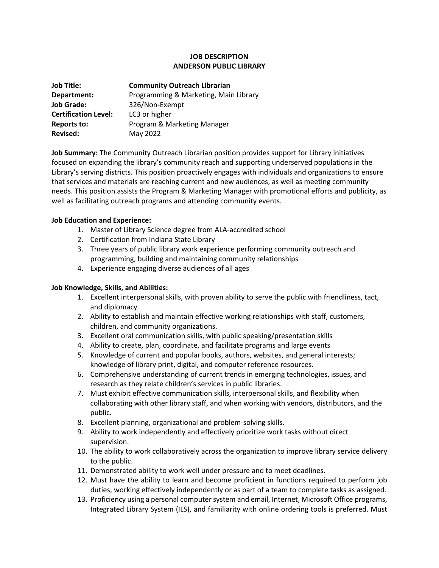## **JOB DESCRIPTION ANDERSON PUBLIC LIBRARY**

| <b>Job Title:</b>           | <b>Community Outreach Librarian</b>   |
|-----------------------------|---------------------------------------|
| Department:                 | Programming & Marketing, Main Library |
| <b>Job Grade:</b>           | 326/Non-Exempt                        |
| <b>Certification Level:</b> | LC3 or higher                         |
| <b>Reports to:</b>          | Program & Marketing Manager           |
| <b>Revised:</b>             | May 2022                              |

**Job Summary:** The Community Outreach Librarian position provides support for Library initiatives focused on expanding the library's community reach and supporting underserved populations in the Library's serving districts. This position proactively engages with individuals and organizations to ensure that services and materials are reaching current and new audiences, as well as meeting community needs. This position assists the Program & Marketing Manager with promotional efforts and publicity, as well as facilitating outreach programs and attending community events.

### **Job Education and Experience:**

- 1. Master of Library Science degree from ALA-accredited school
- 2. Certification from Indiana State Library
- 3. Three years of public library work experience performing community outreach and programming, building and maintaining community relationships
- 4. Experience engaging diverse audiences of all ages

### **Job Knowledge, Skills, and Abilities:**

- 1. Excellent interpersonal skills, with proven ability to serve the public with friendliness, tact, and diplomacy
- 2. Ability to establish and maintain effective working relationships with staff, customers, children, and community organizations.
- 3. Excellent oral communication skills, with public speaking/presentation skills
- 4. Ability to create, plan, coordinate, and facilitate programs and large events
- 5. Knowledge of current and popular books, authors, websites, and general interests; knowledge of library print, digital, and computer reference resources.
- 6. Comprehensive understanding of current trends in emerging technologies, issues, and research as they relate children's services in public libraries.
- 7. Must exhibit effective communication skills, interpersonal skills, and flexibility when collaborating with other library staff, and when working with vendors, distributors, and the public.
- 8. Excellent planning, organizational and problem-solving skills.
- 9. Ability to work independently and effectively prioritize work tasks without direct supervision.
- 10. The ability to work collaboratively across the organization to improve library service delivery to the public.
- 11. Demonstrated ability to work well under pressure and to meet deadlines.
- 12. Must have the ability to learn and become proficient in functions required to perform job duties, working effectively independently or as part of a team to complete tasks as assigned.
- 13. Proficiency using a personal computer system and email, Internet, Microsoft Office programs, Integrated Library System (ILS), and familiarity with online ordering tools is preferred. Must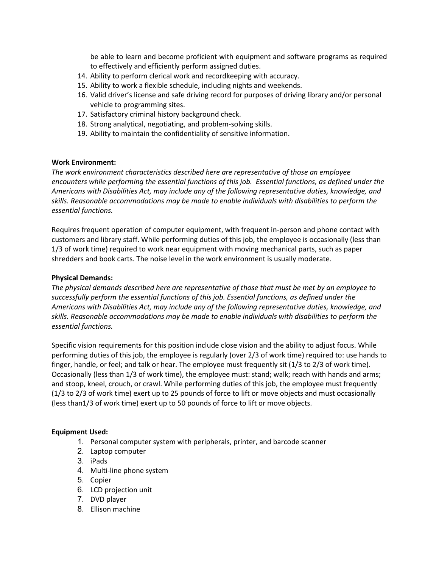be able to learn and become proficient with equipment and software programs as required to effectively and efficiently perform assigned duties.

- 14. Ability to perform clerical work and recordkeeping with accuracy.
- 15. Ability to work a flexible schedule, including nights and weekends.
- 16. Valid driver's license and safe driving record for purposes of driving library and/or personal vehicle to programming sites.
- 17. Satisfactory criminal history background check.
- 18. Strong analytical, negotiating, and problem-solving skills.
- 19. Ability to maintain the confidentiality of sensitive information.

#### **Work Environment:**

*The work environment characteristics described here are representative of those an employee encounters while performing the essential functions of this job. Essential functions, as defined under the Americans with Disabilities Act, may include any of the following representative duties, knowledge, and skills. Reasonable accommodations may be made to enable individuals with disabilities to perform the essential functions.* 

Requires frequent operation of computer equipment, with frequent in-person and phone contact with customers and library staff. While performing duties of this job, the employee is occasionally (less than 1/3 of work time) required to work near equipment with moving mechanical parts, such as paper shredders and book carts. The noise level in the work environment is usually moderate.

### **Physical Demands:**

*The physical demands described here are representative of those that must be met by an employee to successfully perform the essential functions of this job. Essential functions, as defined under the Americans with Disabilities Act, may include any of the following representative duties, knowledge, and skills. Reasonable accommodations may be made to enable individuals with disabilities to perform the essential functions.* 

Specific vision requirements for this position include close vision and the ability to adjust focus. While performing duties of this job, the employee is regularly (over 2/3 of work time) required to: use hands to finger, handle, or feel; and talk or hear. The employee must frequently sit (1/3 to 2/3 of work time). Occasionally (less than 1/3 of work time), the employee must: stand; walk; reach with hands and arms; and stoop, kneel, crouch, or crawl. While performing duties of this job, the employee must frequently (1/3 to 2/3 of work time) exert up to 25 pounds of force to lift or move objects and must occasionally (less than1/3 of work time) exert up to 50 pounds of force to lift or move objects.

#### **Equipment Used:**

- 1. Personal computer system with peripherals, printer, and barcode scanner
- 2. Laptop computer
- 3. iPads
- 4. Multi-line phone system
- 5. Copier
- 6. LCD projection unit
- 7. DVD player
- 8. Ellison machine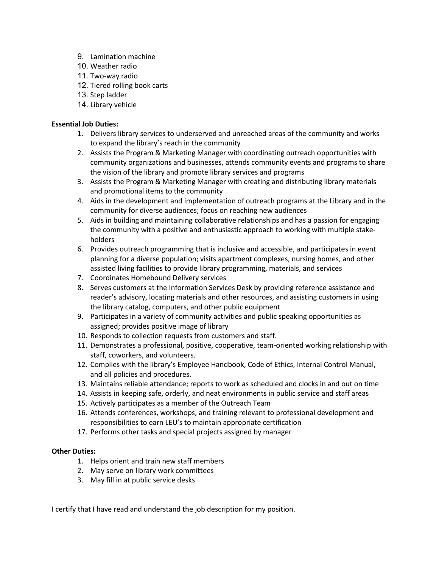- 9. Lamination machine
- 10. Weather radio
- 11. Two-way radio
- 12. Tiered rolling book carts
- 13. Step ladder
- 14. Library vehicle

# **Essential Job Duties:**

- 1. Delivers library services to underserved and unreached areas of the community and works to expand the library's reach in the community
- 2. Assists the Program & Marketing Manager with coordinating outreach opportunities with community organizations and businesses, attends community events and programs to share the vision of the library and promote library services and programs
- 3. Assists the Program & Marketing Manager with creating and distributing library materials and promotional items to the community
- 4. Aids in the development and implementation of outreach programs at the Library and in the community for diverse audiences; focus on reaching new audiences
- 5. Aids in building and maintaining collaborative relationships and has a passion for engaging the community with a positive and enthusiastic approach to working with multiple stakeholders
- 6. Provides outreach programming that is inclusive and accessible, and participates in event planning for a diverse population; visits apartment complexes, nursing homes, and other assisted living facilities to provide library programming, materials, and services
- 7. Coordinates Homebound Delivery services
- 8. Serves customers at the Information Services Desk by providing reference assistance and reader's advisory, locating materials and other resources, and assisting customers in using the library catalog, computers, and other public equipment
- 9. Participates in a variety of community activities and public speaking opportunities as assigned; provides positive image of library
- 10. Responds to collection requests from customers and staff.
- 11. Demonstrates a professional, positive, cooperative, team-oriented working relationship with staff, coworkers, and volunteers.
- 12. Complies with the library's Employee Handbook, Code of Ethics, Internal Control Manual, and all policies and procedures.
- 13. Maintains reliable attendance; reports to work as scheduled and clocks in and out on time
- 14. Assists in keeping safe, orderly, and neat environments in public service and staff areas
- 15. Actively participates as a member of the Outreach Team
- 16. Attends conferences, workshops, and training relevant to professional development and responsibilities to earn LEU's to maintain appropriate certification
- 17. Performs other tasks and special projects assigned by manager

## **Other Duties:**

- 1. Helps orient and train new staff members
- 2. May serve on library work committees
- 3. May fill in at public service desks

I certify that I have read and understand the job description for my position.